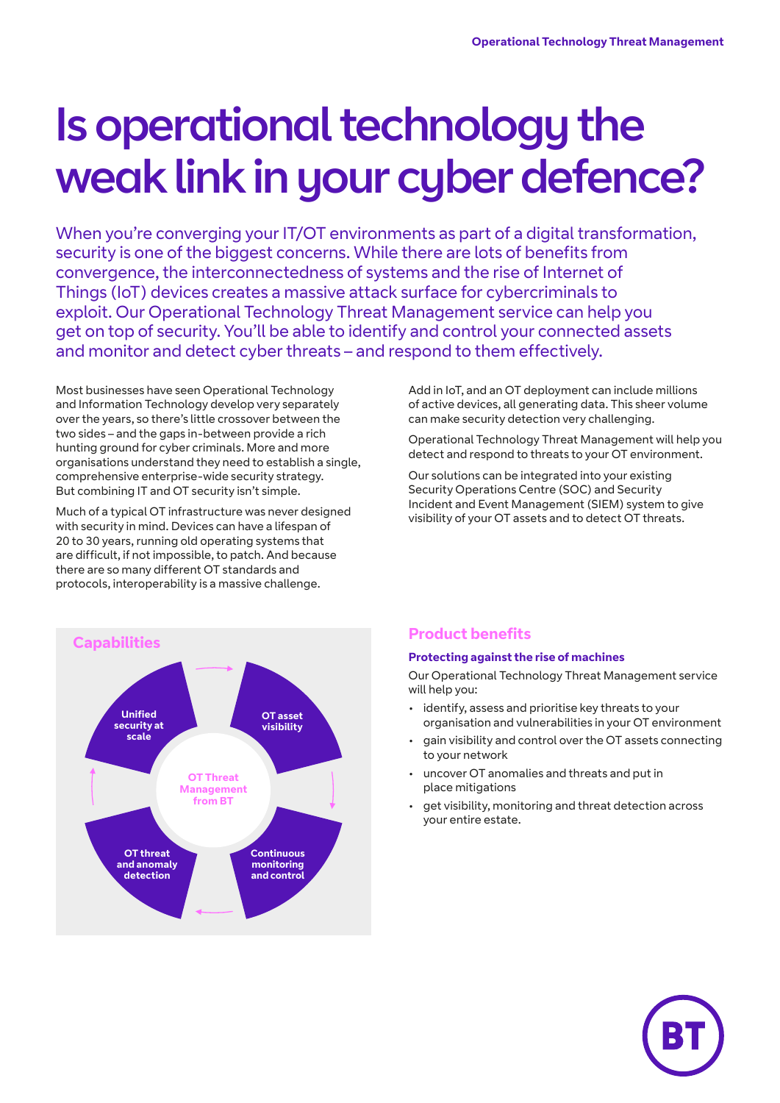# Is operational technology the weak link in your cyber defence?

When you're converging your IT/OT environments as part of a digital transformation, security is one of the biggest concerns. While there are lots of benefits from convergence, the interconnectedness of systems and the rise of Internet of Things (IoT) devices creates a massive attack surface for cybercriminals to exploit. Our Operational Technology Threat Management service can help you get on top of security. You'll be able to identify and control your connected assets and monitor and detect cyber threats – and respond to them effectively.

Most businesses have seen Operational Technology and Information Technology develop very separately over the years, so there's little crossover between the two sides – and the gaps in-between provide a rich hunting ground for cyber criminals. More and more organisations understand they need to establish a single, comprehensive enterprise-wide security strategy. But combining IT and OT security isn't simple.

Much of a typical OT infrastructure was never designed with security in mind. Devices can have a lifespan of 20 to 30 years, running old operating systems that are difficult, if not impossible, to patch. And because there are so many different OT standards and protocols, interoperability is a massive challenge.



Add in IoT, and an OT deployment can include millions of active devices, all generating data. This sheer volume can make security detection very challenging.

Operational Technology Threat Management will help you detect and respond to threats to your OT environment.

Our solutions can be integrated into your existing Security Operations Centre (SOC) and Security Incident and Event Management (SIEM) system to give visibility of your OT assets and to detect OT threats.

#### **Protecting against the rise of machines**

Our Operational Technology Threat Management service will help you:

- identify, assess and prioritise key threats to your organisation and vulnerabilities in your OT environment
- gain visibility and control over the OT assets connecting to your network
- uncover OT anomalies and threats and put in place mitigations
- get visibility, monitoring and threat detection across your entire estate.